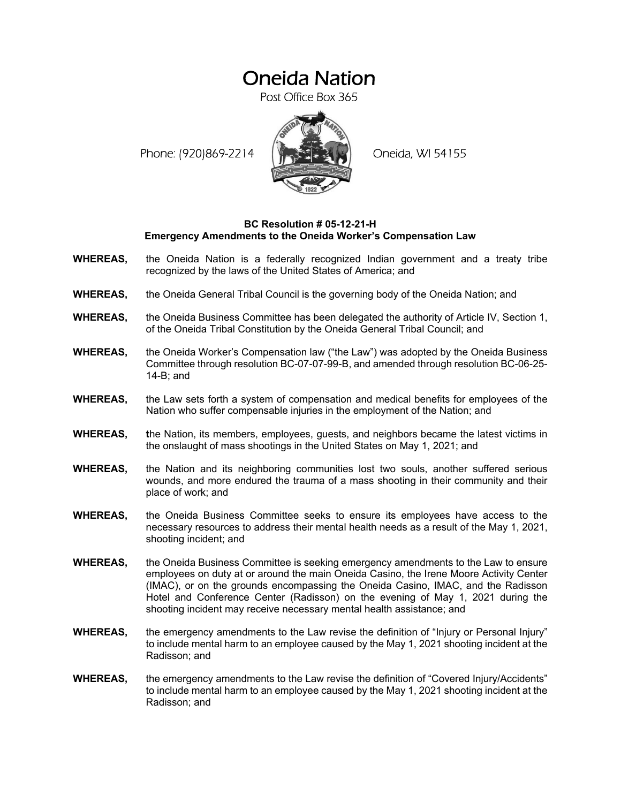## Oneida Nation

Post Office Box 365

Phone: (920)869-2214 (XXXXXXX) Oneida, WI 54155



## **BC Resolution # 05-12-21-H Emergency Amendments to the Oneida Worker's Compensation Law**

- **WHEREAS,** the Oneida Nation is a federally recognized Indian government and a treaty tribe recognized by the laws of the United States of America; and
- **WHEREAS,** the Oneida General Tribal Council is the governing body of the Oneida Nation; and
- **WHEREAS,** the Oneida Business Committee has been delegated the authority of Article IV, Section 1, of the Oneida Tribal Constitution by the Oneida General Tribal Council; and
- **WHEREAS,** the Oneida Worker's Compensation law ("the Law") was adopted by the Oneida Business Committee through resolution BC-07-07-99-B, and amended through resolution BC-06-25- 14-B; and
- **WHEREAS,** the Law sets forth a system of compensation and medical benefits for employees of the Nation who suffer compensable injuries in the employment of the Nation; and
- **WHEREAS, t**he Nation, its members, employees, guests, and neighbors became the latest victims in the onslaught of mass shootings in the United States on May 1, 2021; and
- **WHEREAS,** the Nation and its neighboring communities lost two souls, another suffered serious wounds, and more endured the trauma of a mass shooting in their community and their place of work; and
- **WHEREAS,** the Oneida Business Committee seeks to ensure its employees have access to the necessary resources to address their mental health needs as a result of the May 1, 2021, shooting incident; and
- **WHEREAS,** the Oneida Business Committee is seeking emergency amendments to the Law to ensure employees on duty at or around the main Oneida Casino, the Irene Moore Activity Center (IMAC), or on the grounds encompassing the Oneida Casino, IMAC, and the Radisson Hotel and Conference Center (Radisson) on the evening of May 1, 2021 during the shooting incident may receive necessary mental health assistance; and
- **WHEREAS.** the emergency amendments to the Law revise the definition of "Injury or Personal Injury" to include mental harm to an employee caused by the May 1, 2021 shooting incident at the Radisson; and
- **WHEREAS,** the emergency amendments to the Law revise the definition of "Covered Injury/Accidents" to include mental harm to an employee caused by the May 1, 2021 shooting incident at the Radisson; and